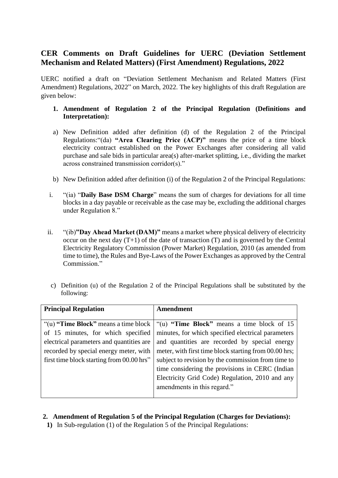## **CER Comments on Draft Guidelines for UERC (Deviation Settlement Mechanism and Related Matters) (First Amendment) Regulations, 2022**

UERC notified a draft on "Deviation Settlement Mechanism and Related Matters (First Amendment) Regulations, 2022" on March, 2022. The key highlights of this draft Regulation are given below:

## **1. Amendment of Regulation 2 of the Principal Regulation (Definitions and Interpretation):**

- a) New Definition added after definition (d) of the Regulation 2 of the Principal Regulations:"(da) **"Area Clearing Price (ACP)"** means the price of a time block electricity contract established on the Power Exchanges after considering all valid purchase and sale bids in particular area(s) after-market splitting, i.e., dividing the market across constrained transmission corridor(s)."
- b) New Definition added after definition (i) of the Regulation 2 of the Principal Regulations:
- i. "(ia) "**Daily Base DSM Charge**" means the sum of charges for deviations for all time blocks in a day payable or receivable as the case may be, excluding the additional charges under Regulation 8."
- ii. "(ib)**"Day Ahead Market (DAM)"** means a market where physical delivery of electricity occur on the next day  $(T+1)$  of the date of transaction  $(T)$  and is governed by the Central Electricity Regulatory Commission (Power Market) Regulation, 2010 (as amended from time to time), the Rules and Bye-Laws of the Power Exchanges as approved by the Central Commission."
- c) Definition (u) of the Regulation 2 of the Principal Regulations shall be substituted by the following:

| <b>Principal Regulation</b>               | <b>Amendment</b>                                      |
|-------------------------------------------|-------------------------------------------------------|
|                                           |                                                       |
| "(u) "Time Block" means a time block"     | "(u) "Time Block" means a time block of 15            |
| of 15 minutes, for which specified        | minutes, for which specified electrical parameters    |
| electrical parameters and quantities are  | and quantities are recorded by special energy         |
| recorded by special energy meter, with    | meter, with first time block starting from 00.00 hrs; |
| first time block starting from 00.00 hrs" | subject to revision by the commission from time to    |
|                                           | time considering the provisions in CERC (Indian       |
|                                           | Electricity Grid Code) Regulation, 2010 and any       |
|                                           | amendments in this regard."                           |
|                                           |                                                       |

## **2. Amendment of Regulation 5 of the Principal Regulation (Charges for Deviations):**

**1)** In Sub-regulation (1) of the Regulation 5 of the Principal Regulations: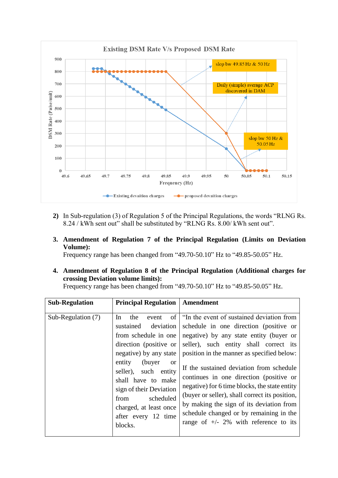

- **2)** In Sub-regulation (3) of Regulation 5 of the Principal Regulations, the words "RLNG Rs. 8.24 / kWh sent out" shall be substituted by "RLNG Rs. 8.00/ kWh sent out".
- **3. Amendment of Regulation 7 of the Principal Regulation (Limits on Deviation Volume):**

Frequency range has been changed from "49.70-50.10" Hz to "49.85-50.05" Hz.

**4. Amendment of Regulation 8 of the Principal Regulation (Additional charges for crossing Deviation volume limits):**

Frequency range has been changed from "49.70-50.10" Hz to "49.85-50.05" Hz.

| <b>Sub-Regulation</b> | <b>Principal Regulation</b>                                                                                                                                                                                                                                                                                                       | Amendment                                                                                                                                                                                                                                                                                                                                                                                                                                                                                                                                           |
|-----------------------|-----------------------------------------------------------------------------------------------------------------------------------------------------------------------------------------------------------------------------------------------------------------------------------------------------------------------------------|-----------------------------------------------------------------------------------------------------------------------------------------------------------------------------------------------------------------------------------------------------------------------------------------------------------------------------------------------------------------------------------------------------------------------------------------------------------------------------------------------------------------------------------------------------|
| Sub-Regulation (7)    | of<br>In<br>the<br>event<br>sustained<br>deviation<br>from schedule in one<br>direction (positive or<br>negative) by any state<br>entity<br>(buyer)<br><sub>or</sub><br>such entity<br>seller),<br>shall have to make<br>sign of their Deviation<br>scheduled<br>from<br>charged, at least once<br>after every 12 time<br>blocks. | "In the event of sustained deviation from<br>schedule in one direction (positive or<br>negative) by any state entity (buyer or<br>seller), such entity shall correct its<br>position in the manner as specified below:<br>If the sustained deviation from schedule<br>continues in one direction (positive or<br>negative) for 6 time blocks, the state entity<br>(buyer or seller), shall correct its position,<br>by making the sign of its deviation from<br>schedule changed or by remaining in the<br>range of $+/- 2\%$ with reference to its |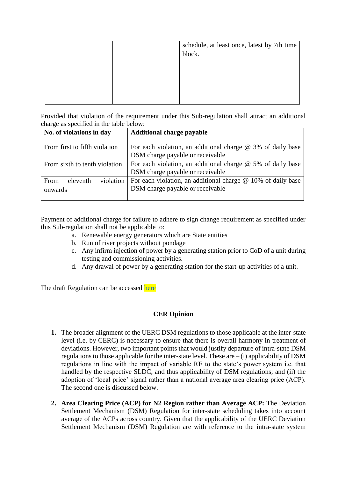|  | schedule, at least once, latest by 7th time<br>block. |
|--|-------------------------------------------------------|
|  |                                                       |
|  |                                                       |
|  |                                                       |

Provided that violation of the requirement under this Sub-regulation shall attract an additional charge as specified in the table below:

| No. of violations in day      | <b>Additional charge payable</b>                                                                               |
|-------------------------------|----------------------------------------------------------------------------------------------------------------|
| From first to fifth violation | For each violation, an additional charge $\omega$ 3% of daily base<br>DSM charge payable or receivable         |
| From sixth to tenth violation | For each violation, an additional charge $@$ 5% of daily base<br>DSM charge payable or receivable              |
| From<br>eleventh<br>onwards   | violation   For each violation, an additional charge $@$ 10% of daily base<br>DSM charge payable or receivable |

Payment of additional charge for failure to adhere to sign change requirement as specified under this Sub-regulation shall not be applicable to:

- a. Renewable energy generators which are State entities
- b. Run of river projects without pondage
- c. Any infirm injection of power by a generating station prior to CoD of a unit during testing and commissioning activities.
- d. Any drawal of power by a generating station for the start-up activities of a unit.

The draft Regulation can be accessed [here](https://cer.iitk.ac.in/odf_assets/upload_files/blog/Draft_First_Amendment_UERC_DSM_Regulation_2022.pdf)

## **CER Opinion**

- **1.** The broader alignment of the UERC DSM regulations to those applicable at the inter-state level (i.e. by CERC) is necessary to ensure that there is overall harmony in treatment of deviations. However, two important points that would justify departure of intra-state DSM regulations to those applicable for the inter-state level. These are  $-$  (i) applicability of DSM regulations in line with the impact of variable RE to the state's power system i.e. that handled by the respective SLDC, and thus applicability of DSM regulations; and (ii) the adoption of 'local price' signal rather than a national average area clearing price (ACP). The second one is discussed below.
- **2. Area Clearing Price (ACP) for N2 Region rather than Average ACP:** The Deviation Settlement Mechanism (DSM) Regulation for inter-state scheduling takes into account average of the ACPs across country. Given that the applicability of the UERC Deviation Settlement Mechanism (DSM) Regulation are with reference to the intra-state system